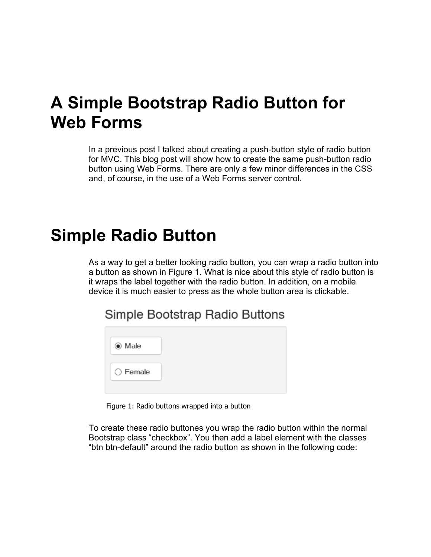## **A Simple Bootstrap Radio Button for Web Forms**

In a previous post I talked about creating a push-button style of radio button for MVC. This blog post will show how to create the same push-button radio button using Web Forms. There are only a few minor differences in the CSS and, of course, in the use of a Web Forms server control.

## **Simple Radio Button**

As a way to get a better looking radio button, you can wrap a radio button into a button as shown in Figure 1. What is nice about this style of radio button is it wraps the label together with the radio button. In addition, on a mobile device it is much easier to press as the whole button area is clickable.

Simple Bootstrap Radio Buttons

Figure 1: Radio buttons wrapped into a button

To create these radio buttones you wrap the radio button within the normal Bootstrap class "checkbox". You then add a label element with the classes "btn btn-default" around the radio button as shown in the following code: